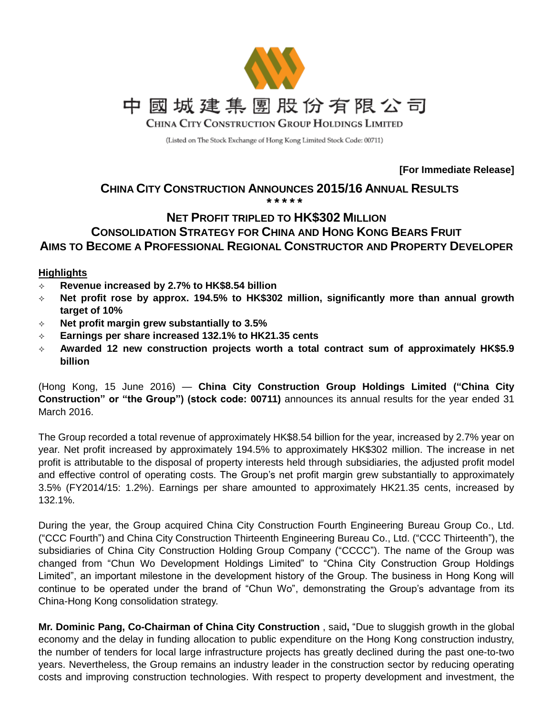

(Listed on The Stock Exchange of Hong Kong Limited Stock Code: 00711)

**[For Immediate Release]**

### **CHINA CITY CONSTRUCTION ANNOUNCES 2015/16 ANNUAL RESULTS \* \* \* \* \***

# **NET PROFIT TRIPLED TO HK\$302 MILLION CONSOLIDATION STRATEGY FOR CHINA AND HONG KONG BEARS FRUIT AIMS TO BECOME A PROFESSIONAL REGIONAL CONSTRUCTOR AND PROPERTY DEVELOPER**

# **Highlights**

- **Revenue increased by 2.7% to HK\$8.54 billion**
- **Net profit rose by approx. 194.5% to HK\$302 million, significantly more than annual growth target of 10%**
- **Net profit margin grew substantially to 3.5%**
- **Earnings per share increased 132.1% to HK21.35 cents**
- **Awarded 12 new construction projects worth a total contract sum of approximately HK\$5.9 billion**

(Hong Kong, 15 June 2016) — **China City Construction Group Holdings Limited ("China City Construction" or "the Group") (stock code: 00711)** announces its annual results for the year ended 31 March 2016.

The Group recorded a total revenue of approximately HK\$8.54 billion for the year, increased by 2.7% year on year. Net profit increased by approximately 194.5% to approximately HK\$302 million. The increase in net profit is attributable to the disposal of property interests held through subsidiaries, the adjusted profit model and effective control of operating costs. The Group's net profit margin grew substantially to approximately 3.5% (FY2014/15: 1.2%). Earnings per share amounted to approximately HK21.35 cents, increased by 132.1%.

During the year, the Group acquired China City Construction Fourth Engineering Bureau Group Co., Ltd. ("CCC Fourth") and China City Construction Thirteenth Engineering Bureau Co., Ltd. ("CCC Thirteenth"), the subsidiaries of China City Construction Holding Group Company ("CCCC"). The name of the Group was changed from "Chun Wo Development Holdings Limited" to "China City Construction Group Holdings Limited", an important milestone in the development history of the Group. The business in Hong Kong will continue to be operated under the brand of "Chun Wo", demonstrating the Group's advantage from its China-Hong Kong consolidation strategy.

**Mr. Dominic Pang, Co-Chairman of China City Construction** , said**,** "Due to sluggish growth in the global economy and the delay in funding allocation to public expenditure on the Hong Kong construction industry, the number of tenders for local large infrastructure projects has greatly declined during the past one-to-two years. Nevertheless, the Group remains an industry leader in the construction sector by reducing operating costs and improving construction technologies. With respect to property development and investment, the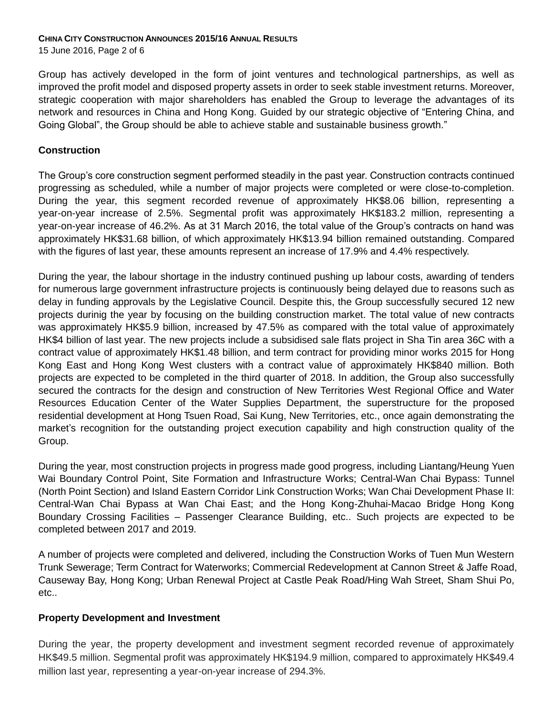15 June 2016, Page 2 of 6

Group has actively developed in the form of joint ventures and technological partnerships, as well as improved the profit model and disposed property assets in order to seek stable investment returns. Moreover, strategic cooperation with major shareholders has enabled the Group to leverage the advantages of its network and resources in China and Hong Kong. Guided by our strategic objective of "Entering China, and Going Global", the Group should be able to achieve stable and sustainable business growth."

# **Construction**

The Group's core construction segment performed steadily in the past year. Construction contracts continued progressing as scheduled, while a number of major projects were completed or were close-to-completion. During the year, this segment recorded revenue of approximately HK\$8.06 billion, representing a year-on-year increase of 2.5%. Segmental profit was approximately HK\$183.2 million, representing a year-on-year increase of 46.2%. As at 31 March 2016, the total value of the Group's contracts on hand was approximately HK\$31.68 billion, of which approximately HK\$13.94 billion remained outstanding. Compared with the figures of last year, these amounts represent an increase of 17.9% and 4.4% respectively.

During the year, the labour shortage in the industry continued pushing up labour costs, awarding of tenders for numerous large government infrastructure projects is continuously being delayed due to reasons such as delay in funding approvals by the Legislative Council. Despite this, the Group successfully secured 12 new projects durinig the year by focusing on the building construction market. The total value of new contracts was approximately HK\$5.9 billion, increased by 47.5% as compared with the total value of approximately HK\$4 billion of last year. The new projects include a subsidised sale flats project in Sha Tin area 36C with a contract value of approximately HK\$1.48 billion, and term contract for providing minor works 2015 for Hong Kong East and Hong Kong West clusters with a contract value of approximately HK\$840 million. Both projects are expected to be completed in the third quarter of 2018. In addition, the Group also successfully secured the contracts for the design and construction of New Territories West Regional Office and Water Resources Education Center of the Water Supplies Department, the superstructure for the proposed residential development at Hong Tsuen Road, Sai Kung, New Territories, etc., once again demonstrating the market's recognition for the outstanding project execution capability and high construction quality of the Group.

During the year, most construction projects in progress made good progress, including Liantang/Heung Yuen Wai Boundary Control Point, Site Formation and Infrastructure Works; Central-Wan Chai Bypass: Tunnel (North Point Section) and Island Eastern Corridor Link Construction Works; Wan Chai Development Phase II: Central-Wan Chai Bypass at Wan Chai East; and the Hong Kong-Zhuhai-Macao Bridge Hong Kong Boundary Crossing Facilities – Passenger Clearance Building, etc.. Such projects are expected to be completed between 2017 and 2019.

A number of projects were completed and delivered, including the Construction Works of Tuen Mun Western Trunk Sewerage; Term Contract for Waterworks; Commercial Redevelopment at Cannon Street & Jaffe Road, Causeway Bay, Hong Kong; Urban Renewal Project at Castle Peak Road/Hing Wah Street, Sham Shui Po, etc..

# **Property Development and Investment**

During the year, the property development and investment segment recorded revenue of approximately HK\$49.5 million. Segmental profit was approximately HK\$194.9 million, compared to approximately HK\$49.4 million last year, representing a year-on-year increase of 294.3%.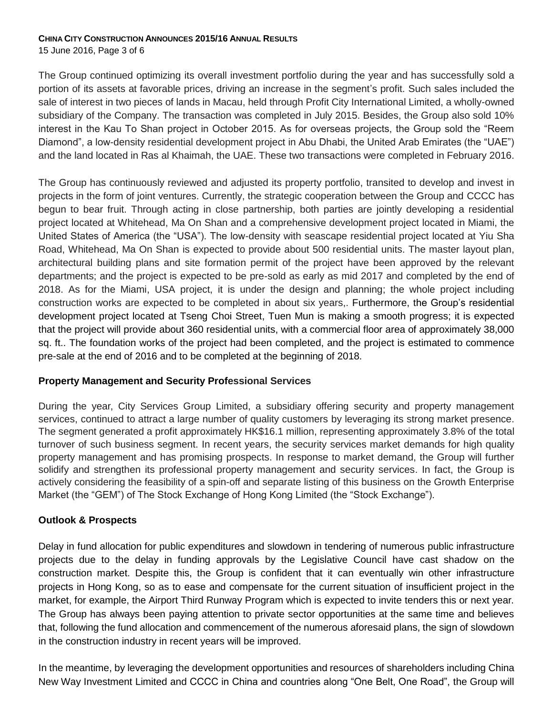15 June 2016, Page 3 of 6

The Group continued optimizing its overall investment portfolio during the year and has successfully sold a portion of its assets at favorable prices, driving an increase in the segment's profit. Such sales included the sale of interest in two pieces of lands in Macau, held through Profit City International Limited, a wholly-owned subsidiary of the Company. The transaction was completed in July 2015. Besides, the Group also sold 10% interest in the Kau To Shan project in October 2015. As for overseas projects, the Group sold the "Reem Diamond", a low-density residential development project in Abu Dhabi, the United Arab Emirates (the "UAE") and the land located in Ras al Khaimah, the UAE. These two transactions were completed in February 2016.

The Group has continuously reviewed and adjusted its property portfolio, transited to develop and invest in projects in the form of joint ventures. Currently, the strategic cooperation between the Group and CCCC has begun to bear fruit. Through acting in close partnership, both parties are jointly developing a residential project located at Whitehead, Ma On Shan and a comprehensive development project located in Miami, the United States of America (the "USA"). The low-density with seascape residential project located at Yiu Sha Road, Whitehead, Ma On Shan is expected to provide about 500 residential units. The master layout plan, architectural building plans and site formation permit of the project have been approved by the relevant departments; and the project is expected to be pre-sold as early as mid 2017 and completed by the end of 2018. As for the Miami, USA project, it is under the design and planning; the whole project including construction works are expected to be completed in about six years,. Furthermore, the Group's residential development project located at Tseng Choi Street, Tuen Mun is making a smooth progress; it is expected that the project will provide about 360 residential units, with a commercial floor area of approximately 38,000 sq. ft.. The foundation works of the project had been completed, and the project is estimated to commence pre-sale at the end of 2016 and to be completed at the beginning of 2018.

# **Property Management and Security Professional Services**

During the year, City Services Group Limited, a subsidiary offering security and property management services, continued to attract a large number of quality customers by leveraging its strong market presence. The segment generated a profit approximately HK\$16.1 million, representing approximately 3.8% of the total turnover of such business segment. In recent years, the security services market demands for high quality property management and has promising prospects. In response to market demand, the Group will further solidify and strengthen its professional property management and security services. In fact, the Group is actively considering the feasibility of a spin-off and separate listing of this business on the Growth Enterprise Market (the "GEM") of The Stock Exchange of Hong Kong Limited (the "Stock Exchange").

# **Outlook & Prospects**

Delay in fund allocation for public expenditures and slowdown in tendering of numerous public infrastructure projects due to the delay in funding approvals by the Legislative Council have cast shadow on the construction market. Despite this, the Group is confident that it can eventually win other infrastructure projects in Hong Kong, so as to ease and compensate for the current situation of insufficient project in the market, for example, the Airport Third Runway Program which is expected to invite tenders this or next year. The Group has always been paying attention to private sector opportunities at the same time and believes that, following the fund allocation and commencement of the numerous aforesaid plans, the sign of slowdown in the construction industry in recent years will be improved.

In the meantime, by leveraging the development opportunities and resources of shareholders including China New Way Investment Limited and CCCC in China and countries along "One Belt, One Road", the Group will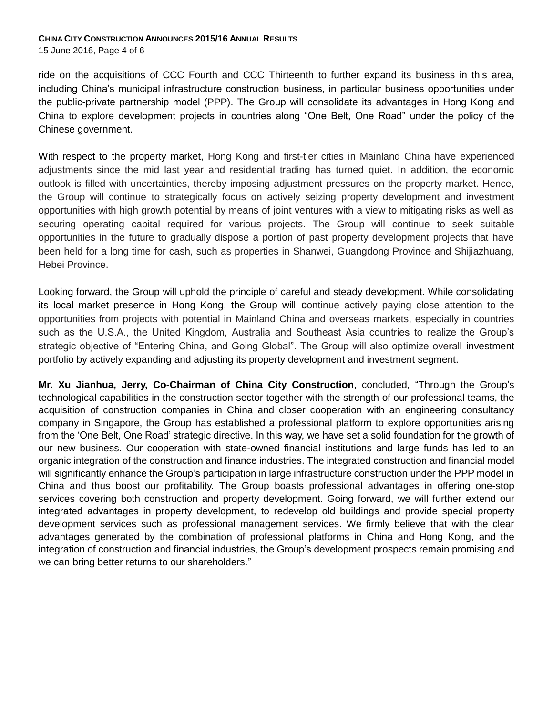15 June 2016, Page 4 of 6

ride on the acquisitions of CCC Fourth and CCC Thirteenth to further expand its business in this area, including China's municipal infrastructure construction business, in particular business opportunities under the public-private partnership model (PPP). The Group will consolidate its advantages in Hong Kong and China to explore development projects in countries along "One Belt, One Road" under the policy of the Chinese government.

With respect to the property market, Hong Kong and first-tier cities in Mainland China have experienced adjustments since the mid last year and residential trading has turned quiet. In addition, the economic outlook is filled with uncertainties, thereby imposing adjustment pressures on the property market. Hence, the Group will continue to strategically focus on actively seizing property development and investment opportunities with high growth potential by means of joint ventures with a view to mitigating risks as well as securing operating capital required for various projects. The Group will continue to seek suitable opportunities in the future to gradually dispose a portion of past property development projects that have been held for a long time for cash, such as properties in Shanwei, Guangdong Province and Shijiazhuang, Hebei Province.

Looking forward, the Group will uphold the principle of careful and steady development. While consolidating its local market presence in Hong Kong, the Group will continue actively paying close attention to the opportunities from projects with potential in Mainland China and overseas markets, especially in countries such as the U.S.A., the United Kingdom, Australia and Southeast Asia countries to realize the Group's strategic objective of "Entering China, and Going Global". The Group will also optimize overall investment portfolio by actively expanding and adjusting its property development and investment segment.

**Mr. Xu Jianhua, Jerry, Co-Chairman of China City Construction**, concluded, "Through the Group's technological capabilities in the construction sector together with the strength of our professional teams, the acquisition of construction companies in China and closer cooperation with an engineering consultancy company in Singapore, the Group has established a professional platform to explore opportunities arising from the 'One Belt, One Road' strategic directive. In this way, we have set a solid foundation for the growth of our new business. Our cooperation with state-owned financial institutions and large funds has led to an organic integration of the construction and finance industries. The integrated construction and financial model will significantly enhance the Group's participation in large infrastructure construction under the PPP model in China and thus boost our profitability. The Group boasts professional advantages in offering one-stop services covering both construction and property development. Going forward, we will further extend our integrated advantages in property development, to redevelop old buildings and provide special property development services such as professional management services. We firmly believe that with the clear advantages generated by the combination of professional platforms in China and Hong Kong, and the integration of construction and financial industries, the Group's development prospects remain promising and we can bring better returns to our shareholders."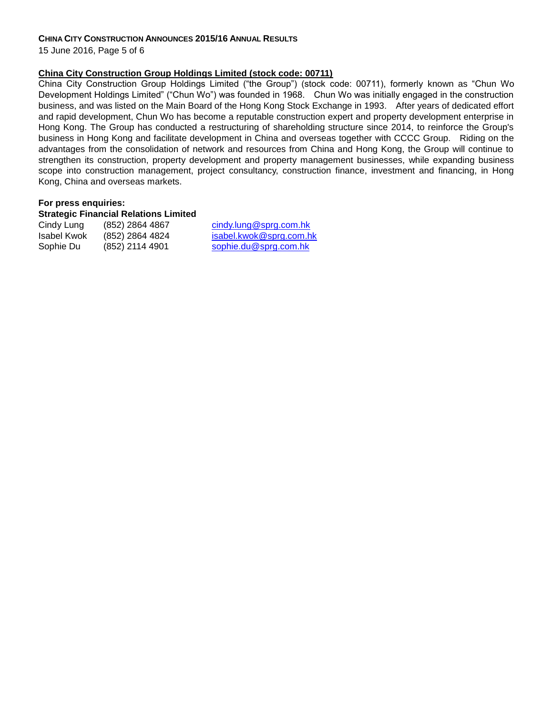15 June 2016, Page 5 of 6

### **China City Construction Group Holdings Limited (stock code: 00711)**

China City Construction Group Holdings Limited ("the Group") (stock code: 00711), formerly known as "Chun Wo Development Holdings Limited" ("Chun Wo") was founded in 1968. Chun Wo was initially engaged in the construction business, and was listed on the Main Board of the Hong Kong Stock Exchange in 1993. After years of dedicated effort and rapid development, Chun Wo has become a reputable construction expert and property development enterprise in Hong Kong. The Group has conducted a restructuring of shareholding structure since 2014, to reinforce the Group's business in Hong Kong and facilitate development in China and overseas together with CCCC Group. Riding on the advantages from the consolidation of network and resources from China and Hong Kong, the Group will continue to strengthen its construction, property development and property management businesses, while expanding business scope into construction management, project consultancy, construction finance, investment and financing, in Hong Kong, China and overseas markets.

### **For press enquiries:**

#### **Strategic Financial Relations Limited**

Cindy Lung (852) 2864 4867 cindy.lung@sprg.com.hk Isabel Kwok (852) 2864 4824 isabel.kwok@sprg.com.hk Sophie Du (852) 2114 4901 [sophie.du@sprg.com.hk](mailto:sophie.du@sprg.com.hk)